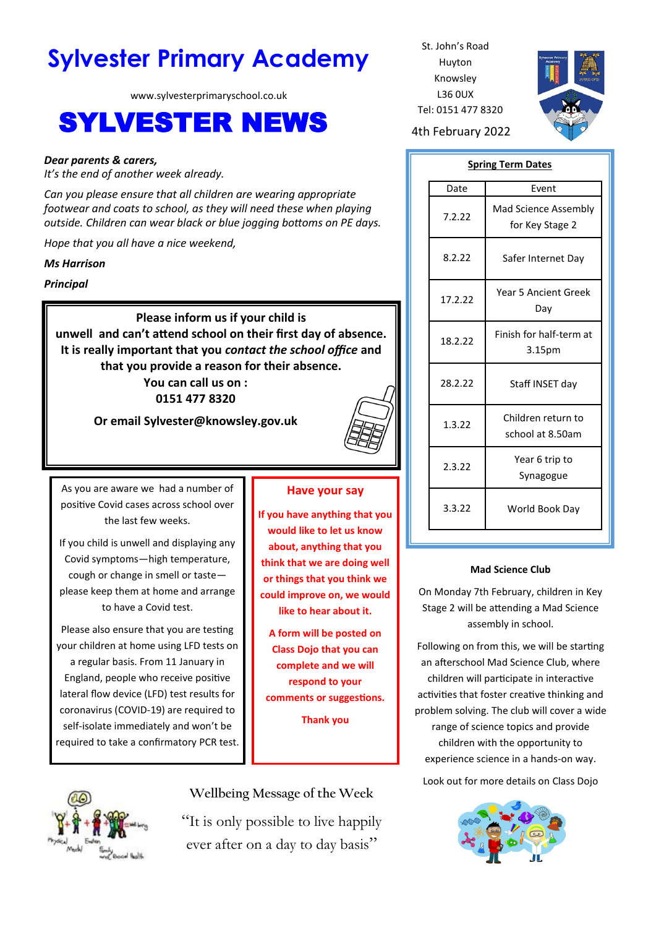# **Sylvester Primary Academy** St. John's Road

www.sylvesterprimaryschool.co.uk

# SYLVESTER NEWS 4th February 2022

#### *Dear parents & carers,*

*It's the end of another week already.*

*Can you please ensure that all children are wearing appropriate footwear and coats to school, as they will need these when playing outside. Children can wear black or blue jogging bottoms on PE days.*

*Hope that you all have a nice weekend,*

#### *Ms Harrison*

*Principal*

**Please inform us if your child is unwell and can't attend school on their first day of absence. It is really important that you** *contact the school office* **and that you provide a reason for their absence. You can call us on :** 

**0151 477 8320**

**Or email Sylvester@knowsley.gov.uk**



As you are aware we had a number of positive Covid cases across school over the last few weeks.

If you child is unwell and displaying any Covid symptoms—high temperature, cough or change in smell or taste please keep them at home and arrange to have a Covid test.

Please also ensure that you are testing your children at home using LFD tests on a regular basis. From 11 January in England, people who receive positive lateral flow device (LFD) test results for coronavirus (COVID-19) are required to self-isolate immediately and won't be required to take a confirmatory PCR test.

## **Have your say**

**If you have anything that you would like to let us know about, anything that you think that we are doing well or things that you think we could improve on, we would like to hear about it.**

**A form will be posted on Class Dojo that you can complete and we will respond to your comments or suggestions.**

**Thank you** 

Huyton Knowsley L36 0UX Tel: 0151 477 8320



# **Spring Term Dates**

| Date    | Event                                         |
|---------|-----------------------------------------------|
| 7.2.22  | Mad Science Assembly<br>for Key Stage 2       |
| 8.2.22  | Safer Internet Day                            |
| 17.2.22 | Year 5 Ancient Greek<br>Day                   |
| 18.2.22 | Finish for half-term at<br>3.15 <sub>pm</sub> |
| 28.2.22 | Staff INSET day                               |
| 1.3.22  | Children return to<br>school at 8.50am        |
| 2.3.22  | Year 6 trip to<br>Synagogue                   |
| 3.3.22  | World Book Day                                |

### **Mad Science Club**

On Monday 7th February, children in Key Stage 2 will be attending a Mad Science assembly in school.

Following on from this, we will be starting an afterschool Mad Science Club, where children will participate in interactive activities that foster creative thinking and problem solving. The club will cover a wide range of science topics and provide children with the opportunity to experience science in a hands-on way.

Look out for more details on Class Dojo





**Wellbeing Message of the Week**

"It is only possible to live happily ever after on a day to day basis"